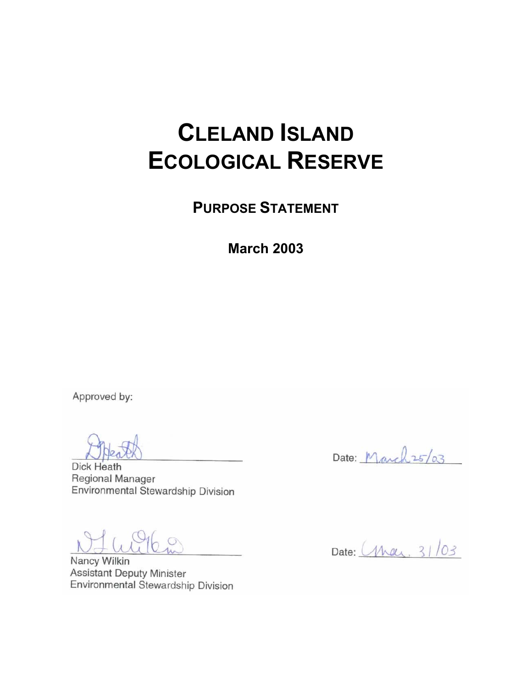# **CLELAND ISLAND ECOLOGICAL RESERVE**

**PURPOSE STATEMENT** 

**March 2003** 

Approved by:

Dick Heath Regional Manager Environmental Stewardship Division

ulik

Nancy Wilkin **Assistant Deputy Minister** Environmental Stewardship Division

Date: March 25/03

Date: (May, 31/03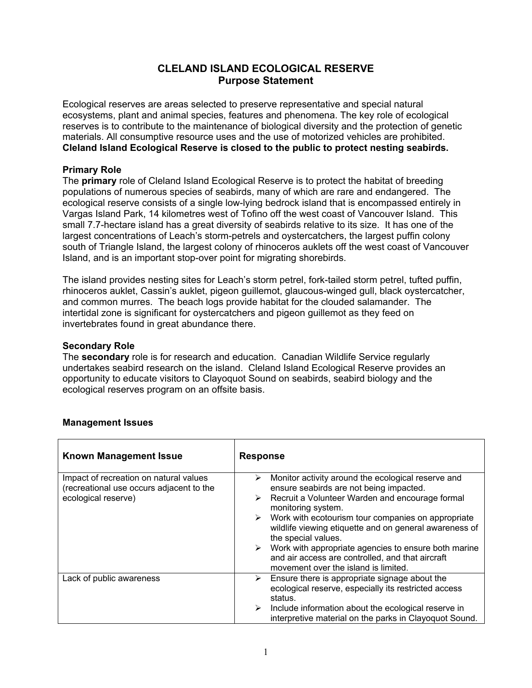### **CLELAND ISLAND ECOLOGICAL RESERVE Purpose Statement**

Ecological reserves are areas selected to preserve representative and special natural ecosystems, plant and animal species, features and phenomena. The key role of ecological reserves is to contribute to the maintenance of biological diversity and the protection of genetic materials. All consumptive resource uses and the use of motorized vehicles are prohibited. **Cleland Island Ecological Reserve is closed to the public to protect nesting seabirds.**

#### **Primary Role**

The **primary** role of Cleland Island Ecological Reserve is to protect the habitat of breeding populations of numerous species of seabirds, many of which are rare and endangered. The ecological reserve consists of a single low-lying bedrock island that is encompassed entirely in Vargas Island Park, 14 kilometres west of Tofino off the west coast of Vancouver Island. This small 7.7-hectare island has a great diversity of seabirds relative to its size. It has one of the largest concentrations of Leach's storm-petrels and oystercatchers, the largest puffin colony south of Triangle Island, the largest colony of rhinoceros auklets off the west coast of Vancouver Island, and is an important stop-over point for migrating shorebirds.

The island provides nesting sites for Leach's storm petrel, fork-tailed storm petrel, tufted puffin, rhinoceros auklet, Cassin's auklet, pigeon guillemot, glaucous-winged gull, black oystercatcher, and common murres. The beach logs provide habitat for the clouded salamander. The intertidal zone is significant for oystercatchers and pigeon guillemot as they feed on invertebrates found in great abundance there.

#### **Secondary Role**

The **secondary** role is for research and education. Canadian Wildlife Service regularly undertakes seabird research on the island. Cleland Island Ecological Reserve provides an opportunity to educate visitors to Clayoquot Sound on seabirds, seabird biology and the ecological reserves program on an offsite basis.

| <b>Known Management Issue</b>                                                                             | <b>Response</b>                                                                                                                                                                                                                                                                                                                                                                                                                                                                                                           |
|-----------------------------------------------------------------------------------------------------------|---------------------------------------------------------------------------------------------------------------------------------------------------------------------------------------------------------------------------------------------------------------------------------------------------------------------------------------------------------------------------------------------------------------------------------------------------------------------------------------------------------------------------|
| Impact of recreation on natural values<br>(recreational use occurs adjacent to the<br>ecological reserve) | Monitor activity around the ecological reserve and<br>➤<br>ensure seabirds are not being impacted.<br>$\triangleright$ Recruit a Volunteer Warden and encourage formal<br>monitoring system.<br>$\triangleright$ Work with ecotourism tour companies on appropriate<br>wildlife viewing etiquette and on general awareness of<br>the special values.<br>$\triangleright$ Work with appropriate agencies to ensure both marine<br>and air access are controlled, and that aircraft<br>movement over the island is limited. |
| Lack of public awareness                                                                                  | Ensure there is appropriate signage about the<br>➤<br>ecological reserve, especially its restricted access<br>status.<br>Include information about the ecological reserve in<br>➤<br>interpretive material on the parks in Clayoquot Sound.                                                                                                                                                                                                                                                                               |

#### **Management Issues**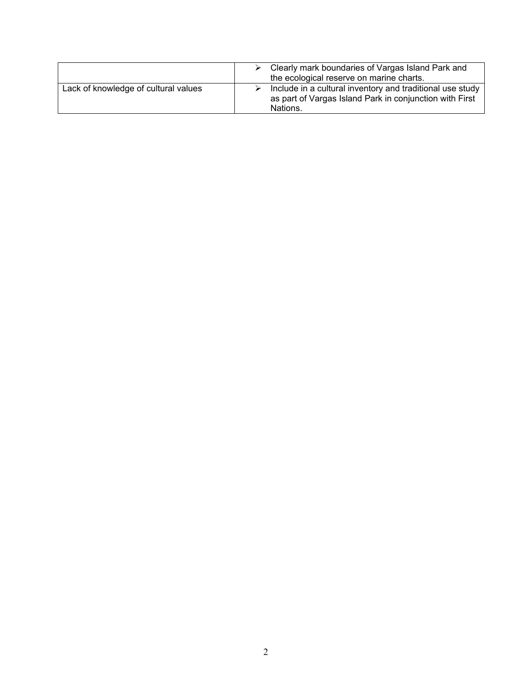|                                      | Clearly mark boundaries of Vargas Island Park and<br>the ecological reserve on marine charts.                                    |
|--------------------------------------|----------------------------------------------------------------------------------------------------------------------------------|
| Lack of knowledge of cultural values | Include in a cultural inventory and traditional use study<br>as part of Vargas Island Park in conjunction with First<br>Nations. |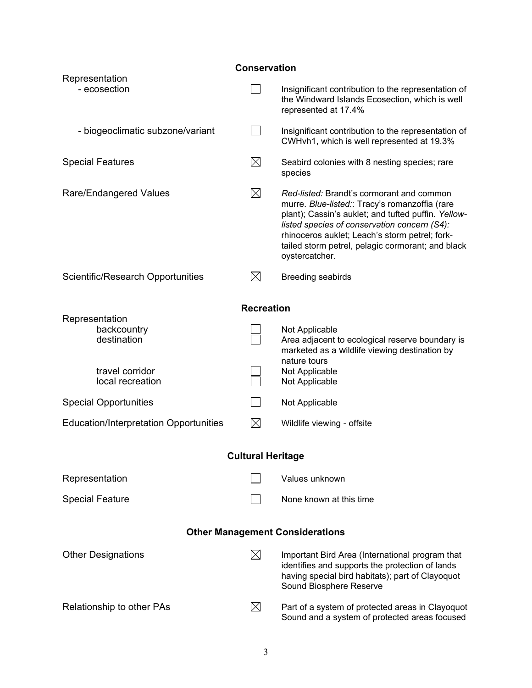| <b>Conservation</b>                           |             |                                                                                                                                                                                                                                                                                                                             |  |  |  |
|-----------------------------------------------|-------------|-----------------------------------------------------------------------------------------------------------------------------------------------------------------------------------------------------------------------------------------------------------------------------------------------------------------------------|--|--|--|
| Representation<br>- ecosection                |             | Insignificant contribution to the representation of<br>the Windward Islands Ecosection, which is well<br>represented at 17.4%                                                                                                                                                                                               |  |  |  |
| - biogeoclimatic subzone/variant              |             | Insignificant contribution to the representation of<br>CWHvh1, which is well represented at 19.3%                                                                                                                                                                                                                           |  |  |  |
| <b>Special Features</b>                       | $\boxtimes$ | Seabird colonies with 8 nesting species; rare<br>species                                                                                                                                                                                                                                                                    |  |  |  |
| Rare/Endangered Values                        | $\boxtimes$ | Red-listed: Brandt's cormorant and common<br>murre. Blue-listed:: Tracy's romanzoffia (rare<br>plant); Cassin's auklet; and tufted puffin. Yellow-<br>listed species of conservation concern (S4):<br>rhinoceros auklet; Leach's storm petrel; fork-<br>tailed storm petrel, pelagic cormorant; and black<br>oystercatcher. |  |  |  |
| Scientific/Research Opportunities             | $\boxtimes$ | <b>Breeding seabirds</b>                                                                                                                                                                                                                                                                                                    |  |  |  |
| <b>Recreation</b>                             |             |                                                                                                                                                                                                                                                                                                                             |  |  |  |
| Representation<br>backcountry<br>destination  |             | Not Applicable<br>Area adjacent to ecological reserve boundary is<br>marketed as a wildlife viewing destination by<br>nature tours                                                                                                                                                                                          |  |  |  |
| travel corridor<br>local recreation           |             | Not Applicable<br>Not Applicable                                                                                                                                                                                                                                                                                            |  |  |  |
| <b>Special Opportunities</b>                  |             | Not Applicable                                                                                                                                                                                                                                                                                                              |  |  |  |
| <b>Education/Interpretation Opportunities</b> | $\boxtimes$ | Wildlife viewing - offsite                                                                                                                                                                                                                                                                                                  |  |  |  |
| <b>Cultural Heritage</b>                      |             |                                                                                                                                                                                                                                                                                                                             |  |  |  |
| Representation                                |             | Values unknown                                                                                                                                                                                                                                                                                                              |  |  |  |
| <b>Special Feature</b>                        |             | None known at this time                                                                                                                                                                                                                                                                                                     |  |  |  |
| <b>Other Management Considerations</b>        |             |                                                                                                                                                                                                                                                                                                                             |  |  |  |
| <b>Other Designations</b>                     | $\boxtimes$ | Important Bird Area (International program that<br>identifies and supports the protection of lands<br>having special bird habitats); part of Clayoquot<br>Sound Biosphere Reserve                                                                                                                                           |  |  |  |
| Relationship to other PAs                     | $\boxtimes$ | Part of a system of protected areas in Clayoquot<br>Sound and a system of protected areas focused                                                                                                                                                                                                                           |  |  |  |